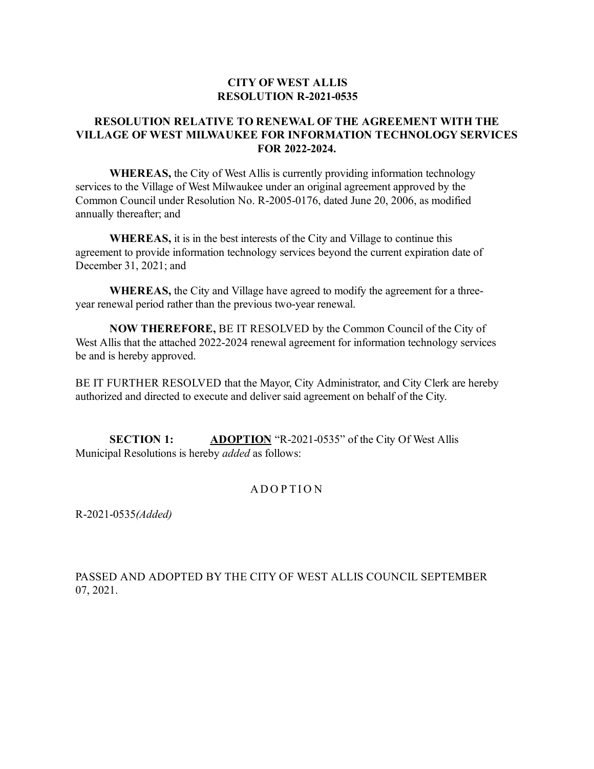## **CITY OF WEST ALLIS RESOLUTION R-2021-0535**

## **RESOLUTION RELATIVE TO RENEWAL OF THE AGREEMENT WITH THE VILLAGE OF WEST MILWAUKEE FOR INFORMATION TECHNOLOGY SERVICES FOR 2022-2024.**

**WHEREAS,** the City of West Allis is currently providing information technology services to the Village of West Milwaukee under an original agreement approved by the Common Council under Resolution No. R-2005-0176, dated June 20, 2006, as modified annually thereafter; and

**WHEREAS,** it is in the best interests of the City and Village to continue this agreement to provide information technology services beyond the current expiration date of December 31, 2021; and

**WHEREAS,** the City and Village have agreed to modify the agreement for a threeyear renewal period rather than the previous two-year renewal.

**NOW THEREFORE,** BE IT RESOLVED by the Common Council of the City of West Allis that the attached 2022-2024 renewal agreement for information technology services be and is hereby approved.

BE IT FURTHER RESOLVED that the Mayor, City Administrator, and City Clerk are hereby authorized and directed to execute and deliver said agreement on behalf of the City.

**SECTION 1: ADOPTION** "R-2021-0535" of the City Of West Allis Municipal Resolutions is hereby *added* as follows:

## **ADOPTION**

R-2021-0535*(Added)*

PASSED AND ADOPTED BY THE CITY OF WEST ALLIS COUNCIL SEPTEMBER 07, 2021.